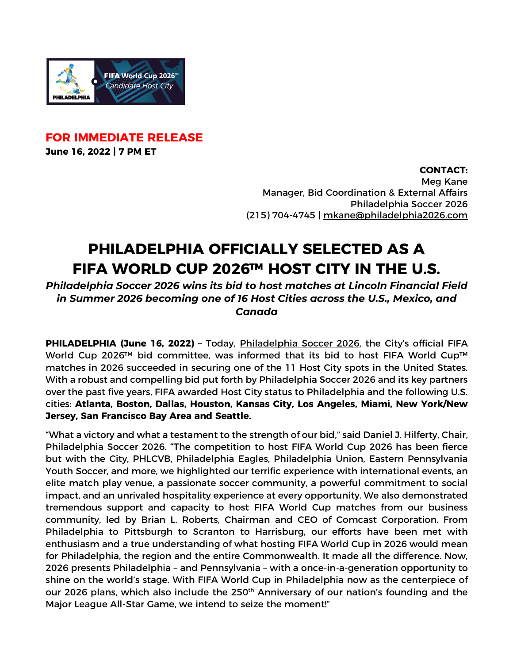

**FOR IMMEDIATE RELEASE June 16, 2022 | 7 PM ET**

**CONTACT:**

Meg Kane Manager, Bid Coordination & External Affairs Philadelphia Soccer 2026 (215) 704-4745 | mkane@philadelphia2026.com

## **PHILADELPHIA OFFICIALLY SELECTED AS A FIFA WORLD CUP 2026™ HOST CITY IN THE U.S.**

*Philadelphia Soccer 2026 wins its bid to host matches at Lincoln Financial Field in Summer 2026 becoming one of 16 Host Cities across the U.S., Mexico, and Canada*

**PHILADELPHIA (June 16, 2022)** – Today, Philadelphia Soccer 2026, the City's official FIFA World Cup 2026™ bid committee, was informed that its bid to host FIFA World Cup™ matches in 2026 succeeded in securing one of the 11 Host City spots in the United States. With a robust and compelling bid put forth by Philadelphia Soccer 2026 and its key partners over the past five years, FIFA awarded Host City status to Philadelphia and the following U.S. cities: **Atlanta, Boston, Dallas, Houston, Kansas City, Los Angeles, Miami, New York/New Jersey, San Francisco Bay Area and Seattle.**

"What a victory and what a testament to the strength of our bid," said Daniel J. Hilferty, Chair, Philadelphia Soccer 2026. "The competition to host FIFA World Cup 2026 has been fierce but with the City, PHLCVB, Philadelphia Eagles, Philadelphia Union, Eastern Pennsylvania Youth Soccer, and more, we highlighted our terrific experience with international events, an elite match play venue, a passionate soccer community, a powerful commitment to social impact, and an unrivaled hospitality experience at every opportunity. We also demonstrated tremendous support and capacity to host FIFA World Cup matches from our business community, led by Brian L. Roberts, Chairman and CEO of Comcast Corporation. From Philadelphia to Pittsburgh to Scranton to Harrisburg, our efforts have been met with enthusiasm and a true understanding of what hosting FIFA World Cup in 2026 would mean for Philadelphia, the region and the entire Commonwealth. It made all the difference. Now, 2026 presents Philadelphia – and Pennsylvania – with a once-in-a-generation opportunity to shine on the world's stage. With FIFA World Cup in Philadelphia now as the centerpiece of our 2026 plans, which also include the 250<sup>th</sup> Anniversary of our nation's founding and the Major League All-Star Game, we intend to seize the moment!"